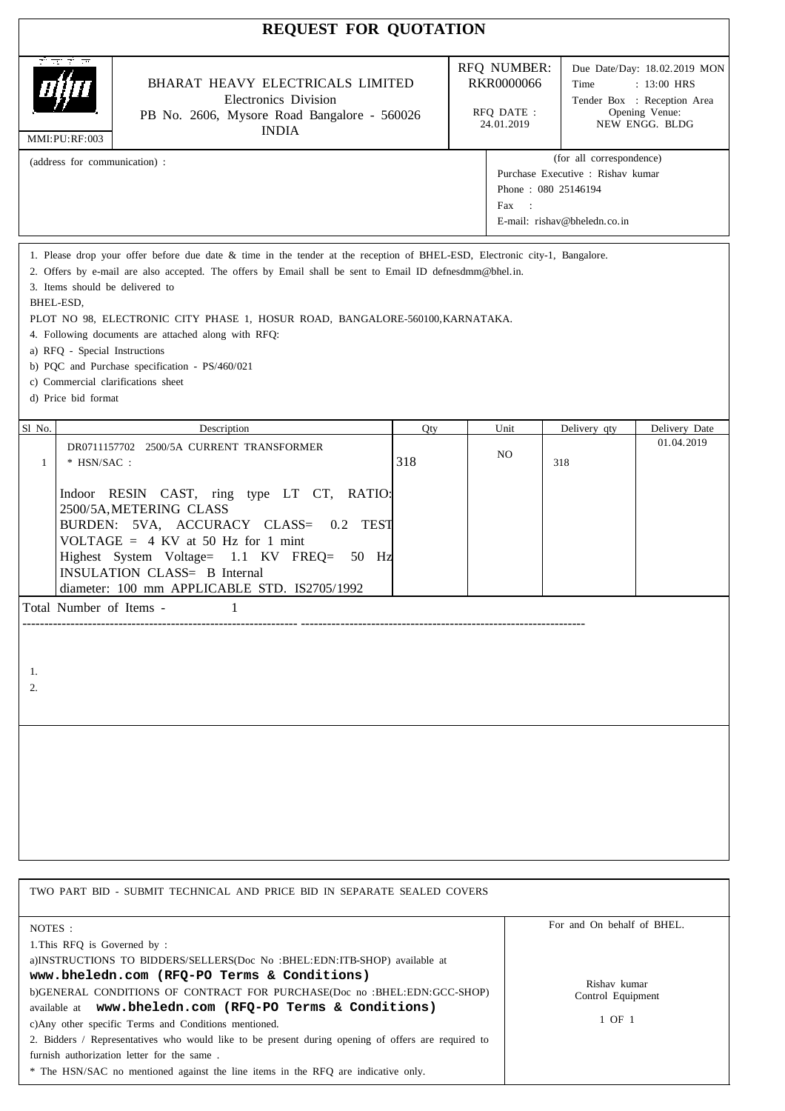|                                                                                                      | <b>REQUEST FOR QUOTATION</b>                                                                                                                                                                                                                                                                                                            |     |                                                                                                                               |      |                                                                                                                          |               |
|------------------------------------------------------------------------------------------------------|-----------------------------------------------------------------------------------------------------------------------------------------------------------------------------------------------------------------------------------------------------------------------------------------------------------------------------------------|-----|-------------------------------------------------------------------------------------------------------------------------------|------|--------------------------------------------------------------------------------------------------------------------------|---------------|
| ਟੀ ਨਾਟੀ ਸਾ<br>MMI:PU:RF:003                                                                          | BHARAT HEAVY ELECTRICALS LIMITED<br>Electronics Division<br>PB No. 2606, Mysore Road Bangalore - 560026<br><b>INDIA</b>                                                                                                                                                                                                                 |     | RFQ NUMBER:<br>RKR0000066<br>RFQ DATE :<br>24.01.2019                                                                         |      | Due Date/Day: 18.02.2019 MON<br>Time<br>$: 13:00$ HRS<br>Tender Box : Reception Area<br>Opening Venue:<br>NEW ENGG. BLDG |               |
| (address for communication) :                                                                        |                                                                                                                                                                                                                                                                                                                                         |     | (for all correspondence)<br>Purchase Executive : Rishav kumar<br>Phone: 080 25146194<br>Fax :<br>E-mail: rishav@bheledn.co.in |      |                                                                                                                          |               |
| 3. Items should be delivered to<br>BHEL-ESD,<br>a) RFQ - Special Instructions<br>d) Price bid format | 2. Offers by e-mail are also accepted. The offers by Email shall be sent to Email ID defnesdmm@bhel.in.<br>PLOT NO 98, ELECTRONIC CITY PHASE 1, HOSUR ROAD, BANGALORE-560100, KARNATAKA.<br>4. Following documents are attached along with RFQ:<br>b) PQC and Purchase specification - PS/460/021<br>c) Commercial clarifications sheet |     |                                                                                                                               |      |                                                                                                                          |               |
| Sl No.                                                                                               | Description                                                                                                                                                                                                                                                                                                                             | Qty |                                                                                                                               | Unit | Delivery qty                                                                                                             | Delivery Date |
| $*$ HSN/SAC :<br>$\mathbf{1}$                                                                        | DR0711157702 2500/5A CURRENT TRANSFORMER                                                                                                                                                                                                                                                                                                | 318 |                                                                                                                               | NO.  | 318                                                                                                                      | 01.04.2019    |
|                                                                                                      | Indoor RESIN CAST, ring type LT CT, RATIO:<br>2500/5A, METERING CLASS<br>BURDEN: 5VA, ACCURACY CLASS=<br>0.2 TEST<br>VOLTAGE = $4$ KV at 50 Hz for 1 mint<br>Highest System Voltage= 1.1 KV FREQ=<br>50 Hz<br>INSULATION CLASS= B Internal                                                                                              |     |                                                                                                                               |      |                                                                                                                          |               |
| Total Number of Items -                                                                              |                                                                                                                                                                                                                                                                                                                                         |     |                                                                                                                               |      |                                                                                                                          |               |
| 1.<br>2.                                                                                             | diameter: 100 mm APPLICABLE STD. IS2705/1992                                                                                                                                                                                                                                                                                            |     |                                                                                                                               |      |                                                                                                                          |               |

| TWO PART BID - SUBMIT TECHNICAL AND PRICE BID IN SEPARATE SEALED COVERS                                                                                                                                                                                                                                                                                                                                                                                                                                                                                           |                                             |
|-------------------------------------------------------------------------------------------------------------------------------------------------------------------------------------------------------------------------------------------------------------------------------------------------------------------------------------------------------------------------------------------------------------------------------------------------------------------------------------------------------------------------------------------------------------------|---------------------------------------------|
| NOTES :<br>1. This RFO is Governed by:                                                                                                                                                                                                                                                                                                                                                                                                                                                                                                                            | For and On behalf of BHEL.                  |
| a)INSTRUCTIONS TO BIDDERS/SELLERS(Doc No: BHEL:EDN:ITB-SHOP) available at<br>www.bheledn.com (RFQ-PO Terms & Conditions)<br>b)GENERAL CONDITIONS OF CONTRACT FOR PURCHASE(Doc no: BHEL:EDN:GCC-SHOP)<br>available at www.bheledn.com (RFQ-PO Terms & Conditions)<br>c)Any other specific Terms and Conditions mentioned.<br>2. Bidders / Representatives who would like to be present during opening of offers are required to<br>furnish authorization letter for the same.<br>* The HSN/SAC no mentioned against the line items in the RFQ are indicative only. | Rishay kumar<br>Control Equipment<br>1 OF 1 |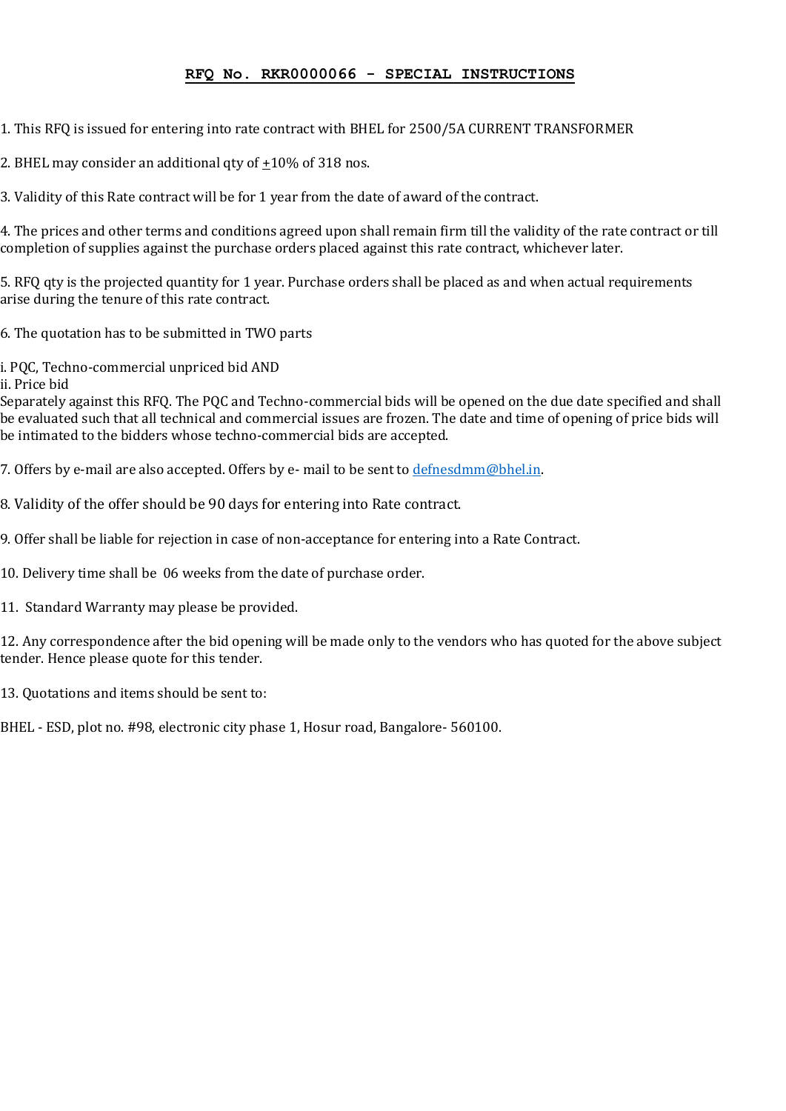#### **RFQ No. RKR0000066 - SPECIAL INSTRUCTIONS**

1. This RFQ is issued for entering into rate contract with BHEL for 2500/5A CURRENT TRANSFORMER

2. BHEL may consider an additional qty of  $\pm 10\%$  of 318 nos.

3. Validity of this Rate contract will be for 1 year from the date of award of the contract.

4. The prices and other terms and conditions agreed upon shall remain firm till the validity of the rate contract or till completion of supplies against the purchase orders placed against this rate contract, whichever later.

5. RFQ qty is the projected quantity for 1 year. Purchase orders shall be placed as and when actual requirements arise during the tenure of this rate contract.

6. The quotation has to be submitted in TWO parts

i. PQC, Techno-commercial unpriced bid AND

ii. Price bid

Separately against this RFQ. The PQC and Techno-commercial bids will be opened on the due date specified and shall be evaluated such that all technical and commercial issues are frozen. The date and time of opening of price bids will be intimated to the bidders whose techno-commercial bids are accepted.

7. Offers by e-mail are also accepted. Offers by e- mail to be sent t[o defnesdmm@bhel.in.](mailto:defnesdmm@bhel.in)

8. Validity of the offer should be 90 days for entering into Rate contract.

9. Offer shall be liable for rejection in case of non-acceptance for entering into a Rate Contract.

10. Delivery time shall be 06 weeks from the date of purchase order.

11. Standard Warranty may please be provided.

12. Any correspondence after the bid opening will be made only to the vendors who has quoted for the above subject tender. Hence please quote for this tender.

13. Quotations and items should be sent to:

BHEL - ESD, plot no. #98, electronic city phase 1, Hosur road, Bangalore- 560100.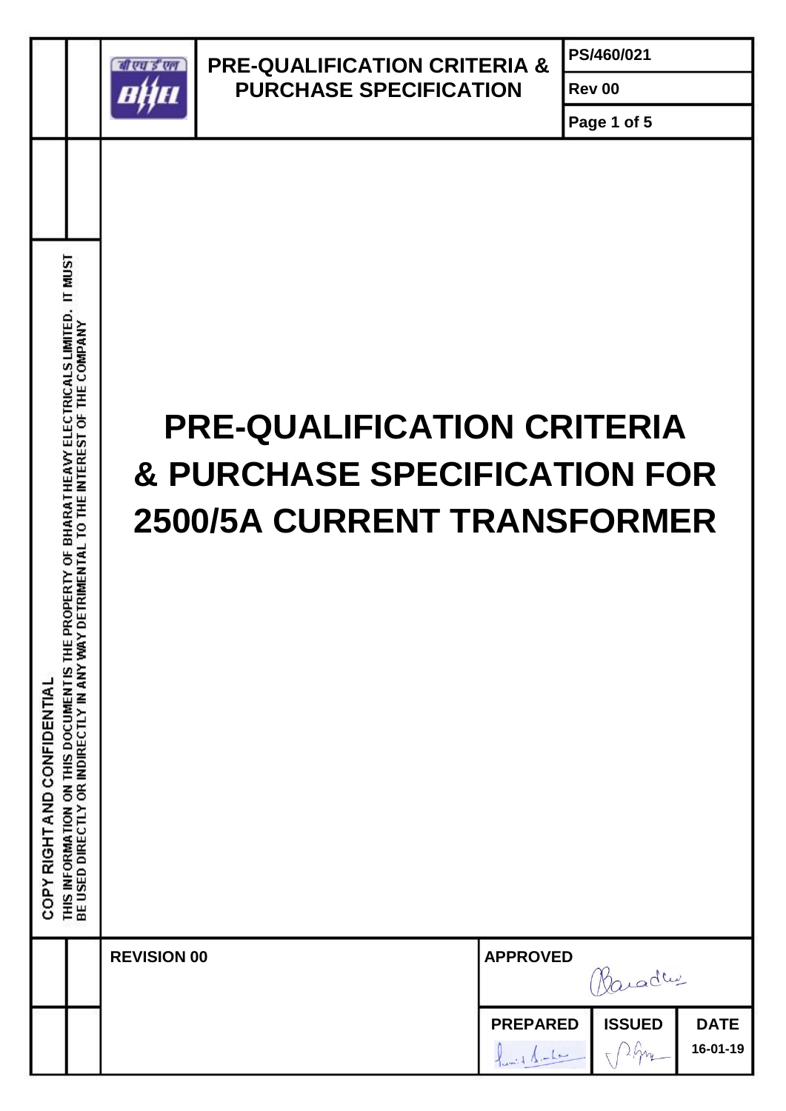

### **PRE-QUALIFICATION CRITERIA & PURCHASE SPECIFICATION**

**PS/460/021**

**Page 1 of 5**

**Rev 00**

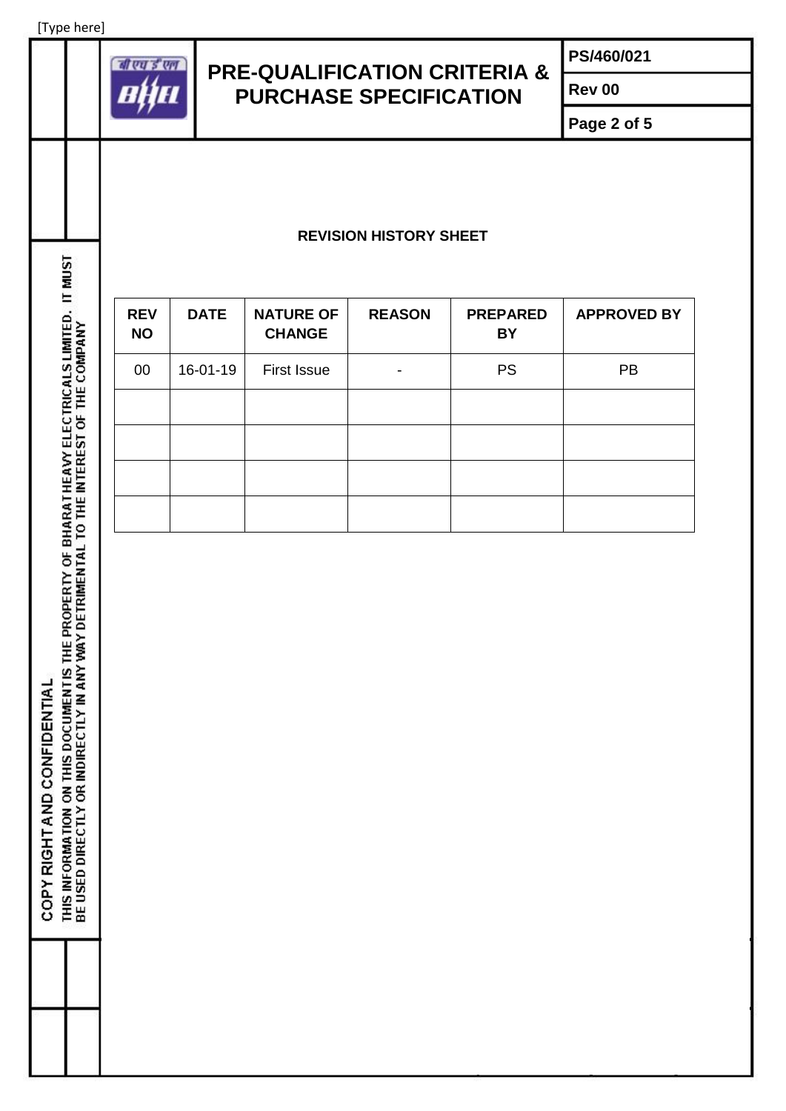[Type here]



## **PRE-QUALIFICATION CRITERIA & PURCHASE SPECIFICATION**

**PS/460/021**

**Rev 00**

**Page 2 of 5**

#### **REVISION HISTORY SHEET**

| <b>ISCINT II</b>                                                                                                                                                             |                         |             |                                   |               |                              |                    |
|------------------------------------------------------------------------------------------------------------------------------------------------------------------------------|-------------------------|-------------|-----------------------------------|---------------|------------------------------|--------------------|
| THIS INFORMATION ON THIS DOCUMENTIS THE PROPERTY OF BHARATHEAVY ELECTRICALS LIMITED.<br>BE USED DIRECTLY OR INDIRECTLY IN ANY WAY DETRIMENTAL TO THE INTEREST OF THE COMPANY | <b>REV</b><br><b>NO</b> | <b>DATE</b> | <b>NATURE OF</b><br><b>CHANGE</b> | <b>REASON</b> | <b>PREPARED</b><br><b>BY</b> | <b>APPROVED BY</b> |
|                                                                                                                                                                              | 00                      | 16-01-19    | <b>First Issue</b>                |               | <b>PS</b>                    | PB                 |
|                                                                                                                                                                              |                         |             |                                   |               |                              |                    |
|                                                                                                                                                                              |                         |             |                                   |               |                              |                    |
|                                                                                                                                                                              |                         |             |                                   |               |                              |                    |
|                                                                                                                                                                              |                         |             |                                   |               |                              |                    |
|                                                                                                                                                                              |                         |             |                                   |               |                              |                    |
|                                                                                                                                                                              |                         |             |                                   |               |                              |                    |
|                                                                                                                                                                              |                         |             |                                   |               |                              |                    |
|                                                                                                                                                                              |                         |             |                                   |               |                              |                    |
|                                                                                                                                                                              |                         |             |                                   |               |                              |                    |
|                                                                                                                                                                              |                         |             |                                   |               |                              |                    |
|                                                                                                                                                                              |                         |             |                                   |               |                              |                    |
|                                                                                                                                                                              |                         |             |                                   |               |                              |                    |
|                                                                                                                                                                              |                         |             |                                   |               |                              |                    |
|                                                                                                                                                                              |                         |             |                                   |               |                              |                    |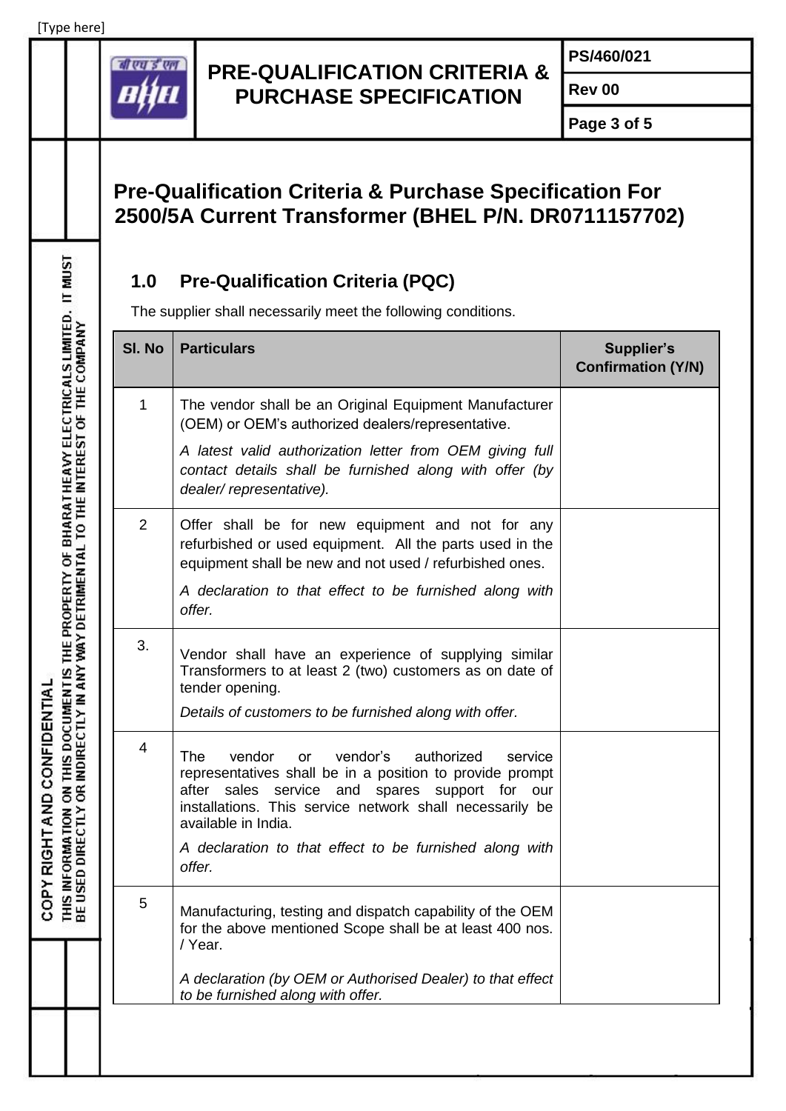COPY RIGHT AND CONFIDENTIAL



#### **PRE-QUALIFICATION CRITERIA & PURCHASE SPECIFICATION**

**PS/460/021**

**Rev 00**

**Page 3 of 5**

# **Pre-Qualification Criteria & Purchase Specification For 2500/5A Current Transformer (BHEL P/N. DR0711157702)**

### **1.0 Pre-Qualification Criteria (PQC)**

| SI. No         | <b>Particulars</b>                                                                                                                                                                                                                                                                                                                       | <b>Supplier's</b><br><b>Confirmation (Y/N)</b> |
|----------------|------------------------------------------------------------------------------------------------------------------------------------------------------------------------------------------------------------------------------------------------------------------------------------------------------------------------------------------|------------------------------------------------|
| 1              | The vendor shall be an Original Equipment Manufacturer<br>(OEM) or OEM's authorized dealers/representative.                                                                                                                                                                                                                              |                                                |
|                | A latest valid authorization letter from OEM giving full<br>contact details shall be furnished along with offer (by<br>dealer/representative).                                                                                                                                                                                           |                                                |
| $\overline{2}$ | Offer shall be for new equipment and not for any<br>refurbished or used equipment. All the parts used in the<br>equipment shall be new and not used / refurbished ones.                                                                                                                                                                  |                                                |
|                | A declaration to that effect to be furnished along with<br>offer.                                                                                                                                                                                                                                                                        |                                                |
| 3.             | Vendor shall have an experience of supplying similar<br>Transformers to at least 2 (two) customers as on date of<br>tender opening.<br>Details of customers to be furnished along with offer.                                                                                                                                            |                                                |
| 4              | vendor's<br><b>The</b><br>vendor<br>authorized<br><b>or</b><br>service<br>representatives shall be in a position to provide prompt<br>sales service and spares support for<br>after<br>our<br>installations. This service network shall necessarily be<br>available in India.<br>A declaration to that effect to be furnished along with |                                                |
| 5              | offer.<br>Manufacturing, testing and dispatch capability of the OEM                                                                                                                                                                                                                                                                      |                                                |
|                | for the above mentioned Scope shall be at least 400 nos.<br>/ Year.<br>A declaration (by OEM or Authorised Dealer) to that effect<br>to be furnished along with offer.                                                                                                                                                                   |                                                |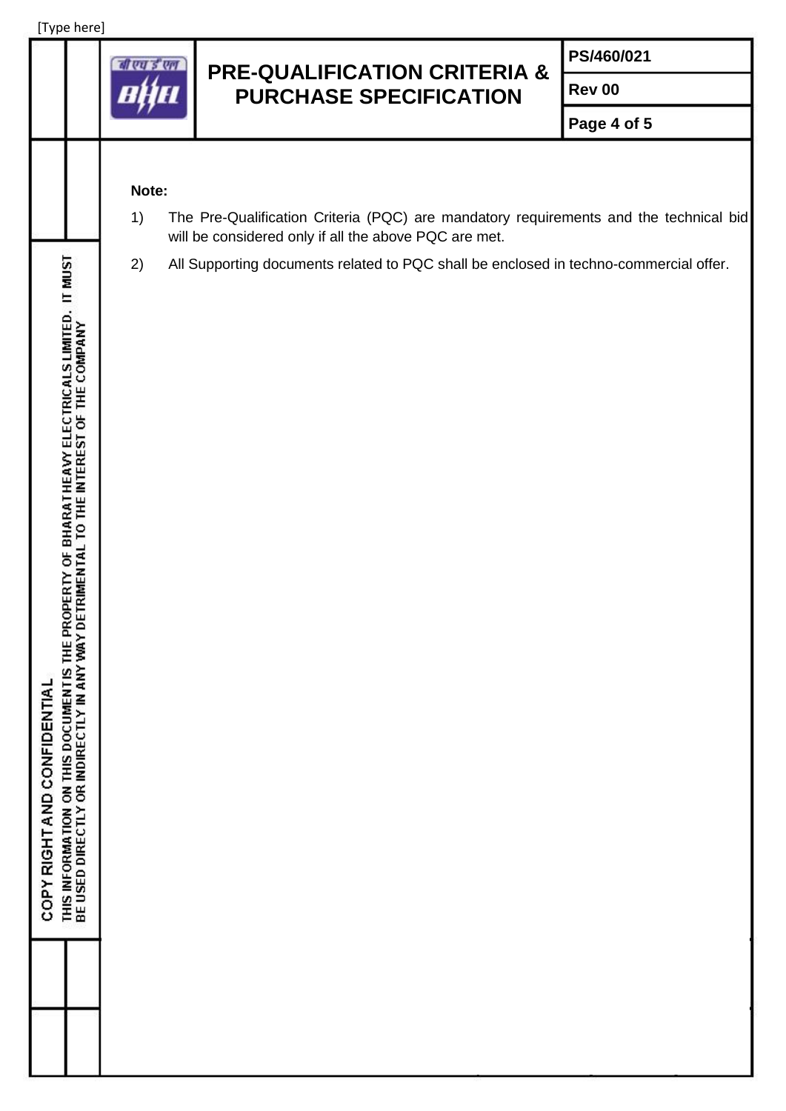

### **PRE-QUALIFICATION CRITERIA & PURCHASE SPECIFICATION**

**PS/460/021**

**Rev 00**

**Page 4 of 5**

#### **Note:**

- 1) The Pre-Qualification Criteria (PQC) are mandatory requirements and the technical bid will be considered only if all the above PQC are met.
- 2) All Supporting documents related to PQC shall be enclosed in techno-commercial offer.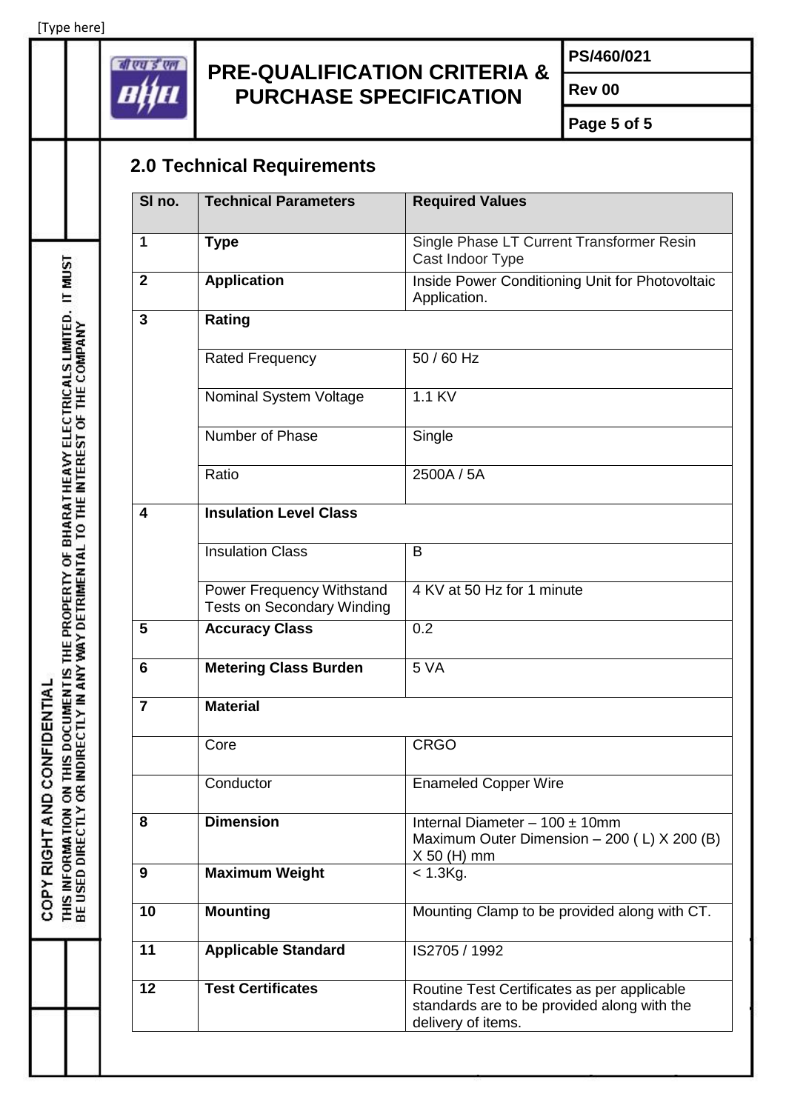[Type here]

THIS INFORMATION ON THIS DOCUMENTIS THE PROPERTY OF BHARATHEAVY ELECTRICALS LIMITED. IT MUST<br>BE USED DIRECTLY OR INDIRECTLY IN ANY WAY DETRIMENTAL TO THE INTEREST OF THE COMPANY

COPY RIGHT AND CONFIDENTIAL



## **PRE-QUALIFICATION CRITERIA & PURCHASE SPECIFICATION**

**PS/460/021**

**Rev 00**

**Page 5 of 5**

# **2.0 Technical Requirements**

| SI no.          | <b>Technical Parameters</b>                                    | <b>Required Values</b>                                                                                           |
|-----------------|----------------------------------------------------------------|------------------------------------------------------------------------------------------------------------------|
| 1               | <b>Type</b>                                                    | Single Phase LT Current Transformer Resin<br>Cast Indoor Type                                                    |
| $\mathbf{2}$    | <b>Application</b>                                             | Inside Power Conditioning Unit for Photovoltaic<br>Application.                                                  |
| $\overline{3}$  | Rating                                                         |                                                                                                                  |
|                 | <b>Rated Frequency</b>                                         | $50/60$ Hz                                                                                                       |
|                 | Nominal System Voltage                                         | 1.1 KV                                                                                                           |
|                 | Number of Phase                                                | Single                                                                                                           |
|                 | Ratio                                                          | 2500A / 5A                                                                                                       |
| 4               | <b>Insulation Level Class</b>                                  |                                                                                                                  |
|                 | <b>Insulation Class</b>                                        | B                                                                                                                |
|                 | Power Frequency Withstand<br><b>Tests on Secondary Winding</b> | 4 KV at 50 Hz for 1 minute                                                                                       |
| 5               | <b>Accuracy Class</b>                                          | 0.2                                                                                                              |
| 6               | <b>Metering Class Burden</b>                                   | 5 VA                                                                                                             |
| $\overline{7}$  | <b>Material</b>                                                |                                                                                                                  |
|                 | Core                                                           | <b>CRGO</b>                                                                                                      |
|                 | Conductor                                                      | <b>Enameled Copper Wire</b>                                                                                      |
| 8               | <b>Dimension</b>                                               | Internal Diameter $-100 \pm 10$ mm<br>Maximum Outer Dimension - 200 (L) X 200 (B)<br>$X$ 50 (H) mm               |
| 9               | <b>Maximum Weight</b>                                          | $<$ 1.3 $Kg$ .                                                                                                   |
| 10              | <b>Mounting</b>                                                | Mounting Clamp to be provided along with CT.                                                                     |
| 11              | <b>Applicable Standard</b>                                     | IS2705 / 1992                                                                                                    |
| $\overline{12}$ | <b>Test Certificates</b>                                       | Routine Test Certificates as per applicable<br>standards are to be provided along with the<br>delivery of items. |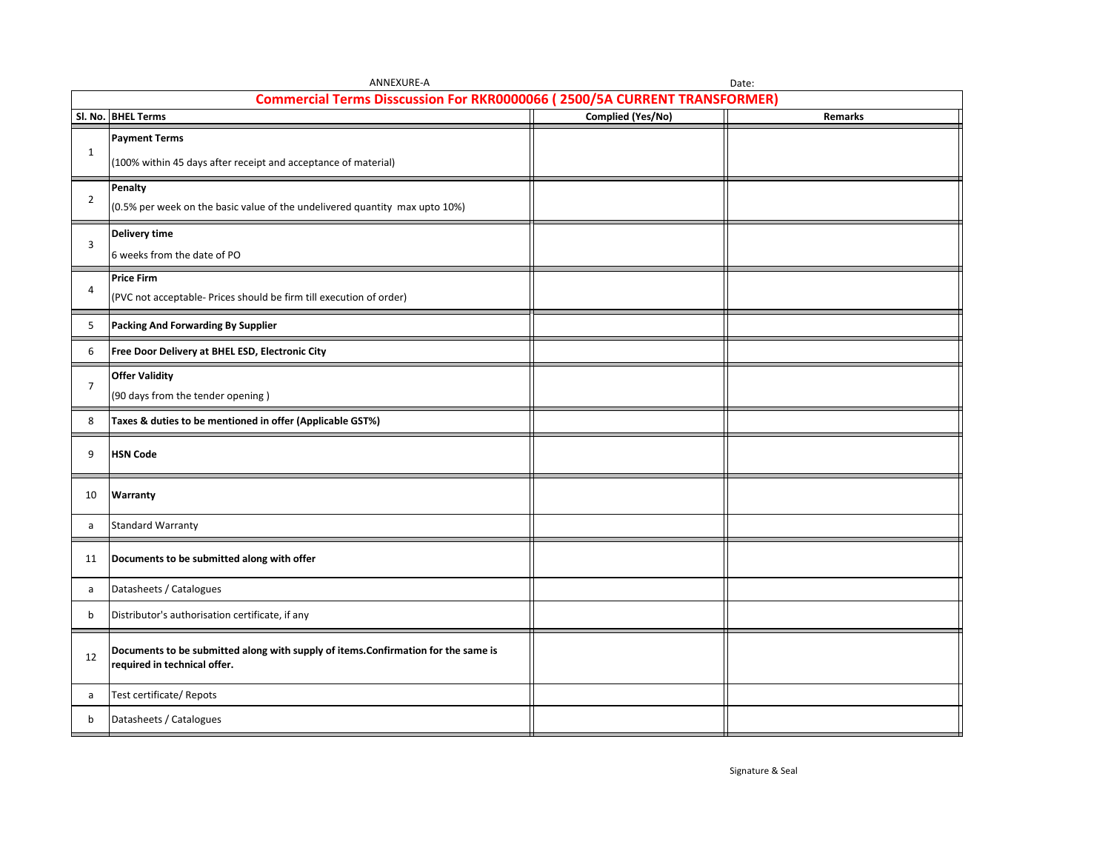|                                                                           | ANNEXURE-A<br>Date:                                                                |                   |         |  |  |  |  |  |
|---------------------------------------------------------------------------|------------------------------------------------------------------------------------|-------------------|---------|--|--|--|--|--|
| Commercial Terms Disscussion For RKR0000066 (2500/5A CURRENT TRANSFORMER) |                                                                                    |                   |         |  |  |  |  |  |
|                                                                           | SI. No. BHEL Terms                                                                 | Complied (Yes/No) | Remarks |  |  |  |  |  |
|                                                                           | <b>Payment Terms</b>                                                               |                   |         |  |  |  |  |  |
| $\mathbf{1}$                                                              | (100% within 45 days after receipt and acceptance of material)                     |                   |         |  |  |  |  |  |
|                                                                           |                                                                                    |                   |         |  |  |  |  |  |
|                                                                           | Penalty                                                                            |                   |         |  |  |  |  |  |
| $\overline{2}$                                                            | (0.5% per week on the basic value of the undelivered quantity max upto 10%)        |                   |         |  |  |  |  |  |
|                                                                           | <b>Delivery time</b>                                                               |                   |         |  |  |  |  |  |
| 3                                                                         |                                                                                    |                   |         |  |  |  |  |  |
|                                                                           | 6 weeks from the date of PO                                                        |                   |         |  |  |  |  |  |
| 4                                                                         | <b>Price Firm</b>                                                                  |                   |         |  |  |  |  |  |
|                                                                           | (PVC not acceptable- Prices should be firm till execution of order)                |                   |         |  |  |  |  |  |
| 5                                                                         | Packing And Forwarding By Supplier                                                 |                   |         |  |  |  |  |  |
|                                                                           |                                                                                    |                   |         |  |  |  |  |  |
| 6                                                                         | Free Door Delivery at BHEL ESD, Electronic City                                    |                   |         |  |  |  |  |  |
|                                                                           | <b>Offer Validity</b>                                                              |                   |         |  |  |  |  |  |
| $\overline{7}$                                                            | (90 days from the tender opening)                                                  |                   |         |  |  |  |  |  |
|                                                                           |                                                                                    |                   |         |  |  |  |  |  |
| 8                                                                         | Taxes & duties to be mentioned in offer (Applicable GST%)                          |                   |         |  |  |  |  |  |
| 9                                                                         | <b>HSN Code</b>                                                                    |                   |         |  |  |  |  |  |
|                                                                           |                                                                                    |                   |         |  |  |  |  |  |
| 10                                                                        | Warranty                                                                           |                   |         |  |  |  |  |  |
|                                                                           |                                                                                    |                   |         |  |  |  |  |  |
| a                                                                         | <b>Standard Warranty</b>                                                           |                   |         |  |  |  |  |  |
|                                                                           |                                                                                    |                   |         |  |  |  |  |  |
| 11                                                                        | Documents to be submitted along with offer                                         |                   |         |  |  |  |  |  |
| a                                                                         | Datasheets / Catalogues                                                            |                   |         |  |  |  |  |  |
| b                                                                         | Distributor's authorisation certificate, if any                                    |                   |         |  |  |  |  |  |
|                                                                           |                                                                                    |                   |         |  |  |  |  |  |
| 12                                                                        | Documents to be submitted along with supply of items. Confirmation for the same is |                   |         |  |  |  |  |  |
|                                                                           | required in technical offer.                                                       |                   |         |  |  |  |  |  |
|                                                                           |                                                                                    |                   |         |  |  |  |  |  |
| a                                                                         | Test certificate/ Repots                                                           |                   |         |  |  |  |  |  |
| b                                                                         | Datasheets / Catalogues                                                            |                   |         |  |  |  |  |  |
|                                                                           |                                                                                    |                   |         |  |  |  |  |  |